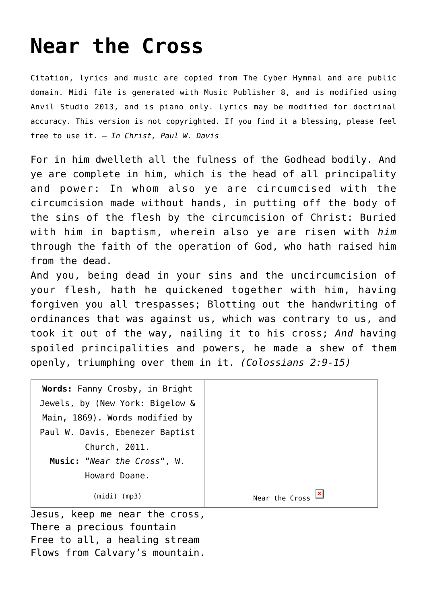## **[Near the Cross](http://reproachofmen.org/hymns-and-music/near-the-cross/)**

Citation, lyrics and music are copied from [The Cyber Hymnal](http://www.hymntime.com/tch/) and are public domain. Midi file is generated with [Music Publisher 8](http://www.braeburn.co.uk/mp.htm), and is modified using [Anvil Studio 2013](http://www.anvilstudio.com/), and is piano only. Lyrics may be modified for doctrinal accuracy. This version is not copyrighted. If you find it a blessing, please feel free to use it. — *In Christ, Paul W. Davis*

For in him dwelleth all the fulness of the Godhead bodily. And ye are complete in him, which is the head of all principality and power: In whom also ye are circumcised with the circumcision made without hands, in putting off the body of the sins of the flesh by the circumcision of Christ: Buried with him in baptism, wherein also ye are risen with *him* through the faith of the operation of God, who hath raised him from the dead.

And you, being dead in your sins and the uncircumcision of your flesh, hath he quickened together with him, having forgiven you all trespasses; Blotting out the handwriting of ordinances that was against us, which was contrary to us, and took it out of the way, nailing it to his cross; *And* having spoiled principalities and powers, he made a shew of them openly, triumphing over them in it. *(Colossians 2:9-15)*

| Words: Fanny Crosby, in Bright  |                |
|---------------------------------|----------------|
| Jewels, by (New York: Bigelow & |                |
| Main, 1869). Words modified by  |                |
| Paul W. Davis, Ebenezer Baptist |                |
| Church, 2011.                   |                |
| Music: "Near the Cross", W.     |                |
| Howard Doane.                   |                |
| $(midi)$ (mp3)                  | Near the Cross |
|                                 |                |

Jesus, keep me near the cross, There a precious fountain Free to all, a healing stream Flows from Calvary's mountain.